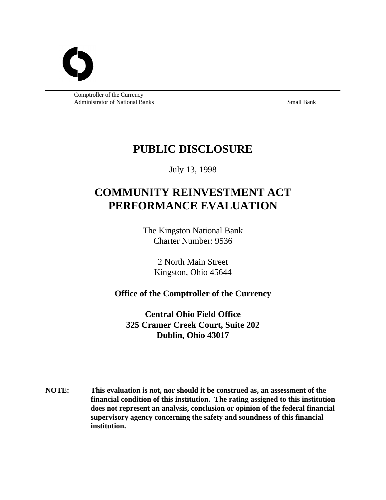

 Comptroller of the Currency Administrator of National Banks Small Banks Small Banks Small Bank

# **PUBLIC DISCLOSURE**

July 13, 1998

# **COMMUNITY REINVESTMENT ACT PERFORMANCE EVALUATION**

The Kingston National Bank Charter Number: 9536

> 2 North Main Street Kingston, Ohio 45644

# **Office of the Comptroller of the Currency**

**Central Ohio Field Office 325 Cramer Creek Court, Suite 202 Dublin, Ohio 43017**

**NOTE: This evaluation is not, nor should it be construed as, an assessment of the financial condition of this institution. The rating assigned to this institution does not represent an analysis, conclusion or opinion of the federal financial supervisory agency concerning the safety and soundness of this financial institution.**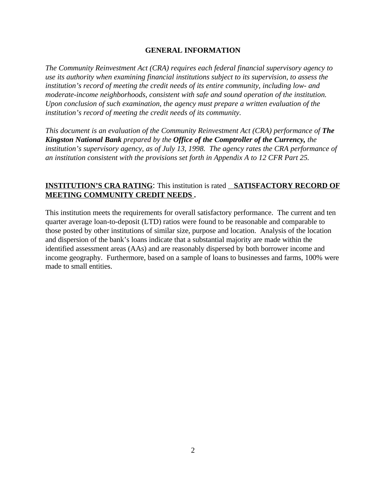#### **GENERAL INFORMATION**

*The Community Reinvestment Act (CRA) requires each federal financial supervisory agency to use its authority when examining financial institutions subject to its supervision, to assess the institution's record of meeting the credit needs of its entire community, including low- and moderate-income neighborhoods, consistent with safe and sound operation of the institution. Upon conclusion of such examination, the agency must prepare a written evaluation of the institution's record of meeting the credit needs of its community.*

*This document is an evaluation of the Community Reinvestment Act (CRA) performance of The Kingston National Bank prepared by the Office of the Comptroller of the Currency, the institution's supervisory agency, as of July 13, 1998. The agency rates the CRA performance of an institution consistent with the provisions set forth in Appendix A to 12 CFR Part 25.*

# **INSTITUTION'S CRA RATING**: This institution is rated **SATISFACTORY RECORD OF MEETING COMMUNITY CREDIT NEEDS .**

This institution meets the requirements for overall satisfactory performance. The current and ten quarter average loan-to-deposit (LTD) ratios were found to be reasonable and comparable to those posted by other institutions of similar size, purpose and location. Analysis of the location and dispersion of the bank's loans indicate that a substantial majority are made within the identified assessment areas (AAs) and are reasonably dispersed by both borrower income and income geography. Furthermore, based on a sample of loans to businesses and farms, 100% were made to small entities.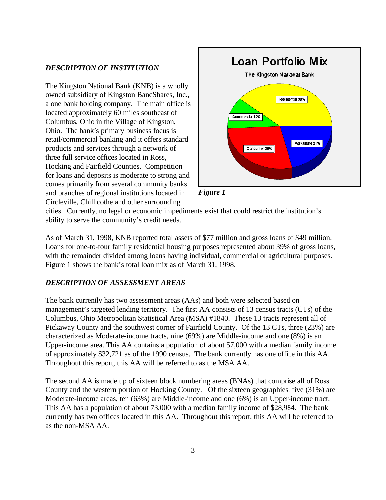#### *DESCRIPTION OF INSTITUTION*

The Kingston National Bank (KNB) is a wholly owned subsidiary of Kingston BancShares, Inc., a one bank holding company. The main office is located approximately 60 miles southeast of Columbus, Ohio in the Village of Kingston, Ohio. The bank's primary business focus is retail/commercial banking and it offers standard products and services through a network of three full service offices located in Ross, Hocking and Fairfield Counties. Competition for loans and deposits is moderate to strong and comes primarily from several community banks and branches of regional institutions located in Circleville, Chillicothe and other surrounding





cities. Currently, no legal or economic impediments exist that could restrict the institution's ability to serve the community's credit needs.

As of March 31, 1998, KNB reported total assets of \$77 million and gross loans of \$49 million. Loans for one-to-four family residential housing purposes represented about 39% of gross loans, with the remainder divided among loans having individual, commercial or agricultural purposes. Figure 1 shows the bank's total loan mix as of March 31, 1998.

#### *DESCRIPTION OF ASSESSMENT AREAS*

The bank currently has two assessment areas (AAs) and both were selected based on management's targeted lending territory. The first AA consists of 13 census tracts (CTs) of the Columbus, Ohio Metropolitan Statistical Area (MSA) #1840. These 13 tracts represent all of Pickaway County and the southwest corner of Fairfield County. Of the 13 CTs, three (23%) are characterized as Moderate-income tracts, nine (69%) are Middle-income and one (8%) is an Upper-income area. This AA contains a population of about 57,000 with a median family income of approximately \$32,721 as of the 1990 census. The bank currently has one office in this AA. Throughout this report, this AA will be referred to as the MSA AA.

The second AA is made up of sixteen block numbering areas (BNAs) that comprise all of Ross County and the western portion of Hocking County. Of the sixteen geographies, five (31%) are Moderate-income areas, ten (63%) are Middle-income and one (6%) is an Upper-income tract. This AA has a population of about 73,000 with a median family income of \$28,984. The bank currently has two offices located in this AA. Throughout this report, this AA will be referred to as the non-MSA AA.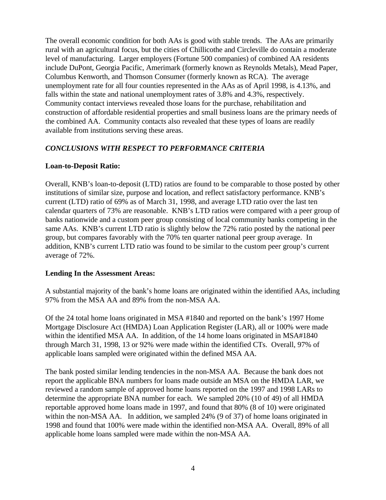The overall economic condition for both AAs is good with stable trends. The AAs are primarily rural with an agricultural focus, but the cities of Chillicothe and Circleville do contain a moderate level of manufacturing. Larger employers (Fortune 500 companies) of combined AA residents include DuPont, Georgia Pacific, Amerimark (formerly known as Reynolds Metals), Mead Paper, Columbus Kenworth, and Thomson Consumer (formerly known as RCA). The average unemployment rate for all four counties represented in the AAs as of April 1998, is 4.13%, and falls within the state and national unemployment rates of 3.8% and 4.3%, respectively. Community contact interviews revealed those loans for the purchase, rehabilitation and construction of affordable residential properties and small business loans are the primary needs of the combined AA. Community contacts also revealed that these types of loans are readily available from institutions serving these areas.

# *CONCLUSIONS WITH RESPECT TO PERFORMANCE CRITERIA*

# **Loan-to-Deposit Ratio:**

Overall, KNB's loan-to-deposit (LTD) ratios are found to be comparable to those posted by other institutions of similar size, purpose and location, and reflect satisfactory performance. KNB's current (LTD) ratio of 69% as of March 31, 1998, and average LTD ratio over the last ten calendar quarters of 73% are reasonable. KNB's LTD ratios were compared with a peer group of banks nationwide and a custom peer group consisting of local community banks competing in the same AAs. KNB's current LTD ratio is slightly below the 72% ratio posted by the national peer group, but compares favorably with the 70% ten quarter national peer group average. In addition, KNB's current LTD ratio was found to be similar to the custom peer group's current average of 72%.

# **Lending In the Assessment Areas:**

A substantial majority of the bank's home loans are originated within the identified AAs, including 97% from the MSA AA and 89% from the non-MSA AA.

Of the 24 total home loans originated in MSA #1840 and reported on the bank's 1997 Home Mortgage Disclosure Act (HMDA) Loan Application Register (LAR), all or 100% were made within the identified MSA AA. In addition, of the 14 home loans originated in MSA#1840 through March 31, 1998, 13 or 92% were made within the identified CTs. Overall, 97% of applicable loans sampled were originated within the defined MSA AA.

The bank posted similar lending tendencies in the non-MSA AA. Because the bank does not report the applicable BNA numbers for loans made outside an MSA on the HMDA LAR, we reviewed a random sample of approved home loans reported on the 1997 and 1998 LARs to determine the appropriate BNA number for each. We sampled 20% (10 of 49) of all HMDA reportable approved home loans made in 1997, and found that 80% (8 of 10) were originated within the non-MSA AA. In addition, we sampled 24% (9 of 37) of home loans originated in 1998 and found that 100% were made within the identified non-MSA AA. Overall, 89% of all applicable home loans sampled were made within the non-MSA AA.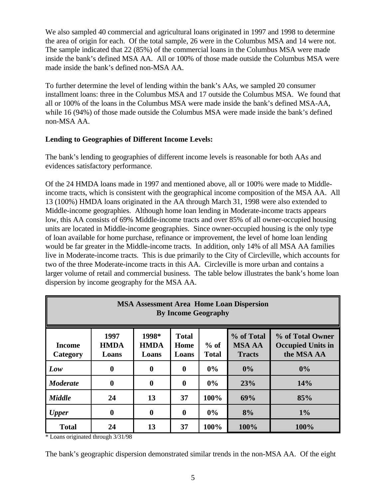We also sampled 40 commercial and agricultural loans originated in 1997 and 1998 to determine the area of origin for each. Of the total sample, 26 were in the Columbus MSA and 14 were not. The sample indicated that 22 (85%) of the commercial loans in the Columbus MSA were made inside the bank's defined MSA AA. All or 100% of those made outside the Columbus MSA were made inside the bank's defined non-MSA AA.

To further determine the level of lending within the bank's AAs, we sampled 20 consumer installment loans: three in the Columbus MSA and 17 outside the Columbus MSA. We found that all or 100% of the loans in the Columbus MSA were made inside the bank's defined MSA-AA, while 16 (94%) of those made outside the Columbus MSA were made inside the bank's defined non-MSA AA.

# **Lending to Geographies of Different Income Levels:**

The bank's lending to geographies of different income levels is reasonable for both AAs and evidences satisfactory performance.

Of the 24 HMDA loans made in 1997 and mentioned above, all or 100% were made to Middleincome tracts, which is consistent with the geographical income composition of the MSA AA. All 13 (100%) HMDA loans originated in the AA through March 31, 1998 were also extended to Middle-income geographies. Although home loan lending in Moderate-income tracts appears low, this AA consists of 69% Middle-income tracts and over 85% of all owner-occupied housing units are located in Middle-income geographies. Since owner-occupied housing is the only type of loan available for home purchase, refinance or improvement, the level of home loan lending would be far greater in the Middle-income tracts. In addition, only 14% of all MSA AA families live in Moderate-income tracts. This is due primarily to the City of Circleville, which accounts for two of the three Moderate-income tracts in this AA. Circleville is more urban and contains a larger volume of retail and commercial business. The table below illustrates the bank's home loan dispersion by income geography for the MSA AA.

| <b>MSA Assessment Area Home Loan Dispersion</b><br><b>By Income Geography</b> |                              |                               |                               |                        |                                              |                                                            |
|-------------------------------------------------------------------------------|------------------------------|-------------------------------|-------------------------------|------------------------|----------------------------------------------|------------------------------------------------------------|
| <b>Income</b><br>Category                                                     | 1997<br><b>HMDA</b><br>Loans | 1998*<br><b>HMDA</b><br>Loans | <b>Total</b><br>Home<br>Loans | $%$ of<br><b>Total</b> | % of Total<br><b>MSA AA</b><br><b>Tracts</b> | % of Total Owner<br><b>Occupied Units in</b><br>the MSA AA |
| Low                                                                           | $\bf{0}$                     | $\bf{0}$                      | $\boldsymbol{0}$              | $0\%$                  | $0\%$                                        | 0%                                                         |
| <b>Moderate</b>                                                               | $\mathbf 0$                  | $\bf{0}$                      | $\boldsymbol{0}$              | $0\%$                  | 23%                                          | 14%                                                        |
| <b>Middle</b>                                                                 | 24                           | 13                            | 37                            | 100%                   | 69%                                          | 85%                                                        |
| <b>Upper</b>                                                                  | $\bf{0}$                     | $\mathbf 0$                   | $\bf{0}$                      | $0\%$                  | 8%                                           | $1\%$                                                      |
| <b>Total</b>                                                                  | 24                           | 13                            | 37                            | 100%                   | 100%                                         | 100%                                                       |

\* Loans originated through 3/31/98

The bank's geographic dispersion demonstrated similar trends in the non-MSA AA. Of the eight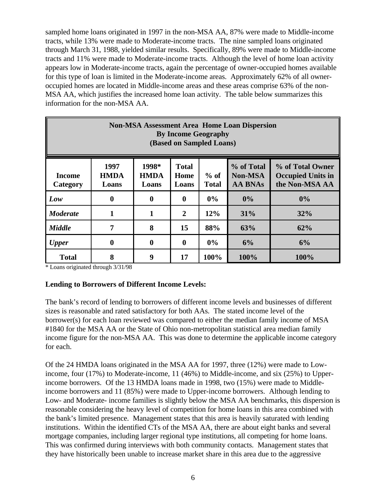sampled home loans originated in 1997 in the non-MSA AA, 87% were made to Middle-income tracts, while 13% were made to Moderate-income tracts. The nine sampled loans originated through March 31, 1988, yielded similar results. Specifically, 89% were made to Middle-income tracts and 11% were made to Moderate-income tracts. Although the level of home loan activity appears low in Moderate-income tracts, again the percentage of owner-occupied homes available for this type of loan is limited in the Moderate-income areas. Approximately 62% of all owneroccupied homes are located in Middle-income areas and these areas comprise 63% of the non-MSA AA, which justifies the increased home loan activity. The table below summarizes this information for the non-MSA AA.

| <b>Non-MSA Assessment Area Home Loan Dispersion</b><br><b>By Income Geography</b><br>(Based on Sampled Loans) |                              |                               |                               |                        |                                                |                                                                |
|---------------------------------------------------------------------------------------------------------------|------------------------------|-------------------------------|-------------------------------|------------------------|------------------------------------------------|----------------------------------------------------------------|
| <b>Income</b><br>Category                                                                                     | 1997<br><b>HMDA</b><br>Loans | 1998*<br><b>HMDA</b><br>Loans | <b>Total</b><br>Home<br>Loans | $%$ of<br><b>Total</b> | % of Total<br><b>Non-MSA</b><br><b>AA BNAs</b> | % of Total Owner<br><b>Occupied Units in</b><br>the Non-MSA AA |
| Low                                                                                                           | 0                            | $\mathbf{0}$                  | $\mathbf{0}$                  | $0\%$                  | $0\%$                                          | $0\%$                                                          |
| <b>Moderate</b>                                                                                               | 1                            | 1                             | $\overline{2}$                | 12%                    | 31%                                            | 32%                                                            |
| <b>Middle</b>                                                                                                 | 7                            | 8                             | 15                            | 88%                    | 63%                                            | 62%                                                            |
| <b>Upper</b>                                                                                                  | $\boldsymbol{0}$             | $\mathbf{0}$                  | $\mathbf{0}$                  | 0%                     | 6%                                             | 6%                                                             |
| <b>Total</b>                                                                                                  | 8                            | 9                             | 17                            | 100%                   | 100%                                           | 100%                                                           |

\* Loans originated through 3/31/98

# **Lending to Borrowers of Different Income Levels:**

The bank's record of lending to borrowers of different income levels and businesses of different sizes is reasonable and rated satisfactory for both AAs. The stated income level of the borrower(s) for each loan reviewed was compared to either the median family income of MSA #1840 for the MSA AA or the State of Ohio non-metropolitan statistical area median family income figure for the non-MSA AA. This was done to determine the applicable income category for each.

Of the 24 HMDA loans originated in the MSA AA for 1997, three (12%) were made to Lowincome, four (17%) to Moderate-income, 11 (46%) to Middle-income, and six (25%) to Upperincome borrowers. Of the 13 HMDA loans made in 1998, two (15%) were made to Middleincome borrowers and 11 (85%) were made to Upper-income borrowers. Although lending to Low- and Moderate- income families is slightly below the MSA AA benchmarks, this dispersion is reasonable considering the heavy level of competition for home loans in this area combined with the bank's limited presence. Management states that this area is heavily saturated with lending institutions. Within the identified CTs of the MSA AA, there are about eight banks and several mortgage companies, including larger regional type institutions, all competing for home loans. This was confirmed during interviews with both community contacts. Management states that they have historically been unable to increase market share in this area due to the aggressive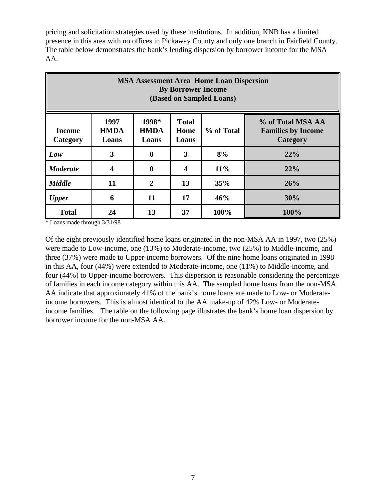pricing and solicitation strategies used by these institutions. In addition, KNB has a limited presence in this area with no offices in Pickaway County and only one branch in Fairfield County. The table below demonstrates the bank's lending dispersion by borrower income for the MSA AA.

| <b>MSA Assessment Area Home Loan Dispersion</b><br><b>By Borrower Income</b><br>(Based on Sampled Loans) |                              |                               |                               |            |                                                            |  |
|----------------------------------------------------------------------------------------------------------|------------------------------|-------------------------------|-------------------------------|------------|------------------------------------------------------------|--|
| Income<br>Category                                                                                       | 1997<br><b>HMDA</b><br>Loans | 1998*<br><b>HMDA</b><br>Loans | <b>Total</b><br>Home<br>Loans | % of Total | % of Total MSA AA<br><b>Families by Income</b><br>Category |  |
| Low                                                                                                      | 3                            | $\bf{0}$                      | 3                             | 8%         | 22%                                                        |  |
| <b>Moderate</b>                                                                                          | $\boldsymbol{4}$             | $\mathbf 0$                   | 4                             | 11%        | 22%                                                        |  |
| <b>Middle</b>                                                                                            | 11                           | $\overline{2}$                | 13                            | 35%        | 26%                                                        |  |
| <b>Upper</b>                                                                                             | 6                            | 11                            | 17                            | 46%        | 30%                                                        |  |
| <b>Total</b>                                                                                             | 24                           | 13                            | 37                            | 100%       | 100%                                                       |  |

\* Loans made through 3/31/98

Of the eight previously identified home loans originated in the non-MSA AA in 1997, two (25%) were made to Low-income, one (13%) to Moderate-income, two (25%) to Middle-income, and three (37%) were made to Upper-income borrowers. Of the nine home loans originated in 1998 in this AA, four (44%) were extended to Moderate-income, one (11%) to Middle-income, and four (44%) to Upper-income borrowers. This dispersion is reasonable considering the percentage of families in each income category within this AA. The sampled home loans from the non-MSA AA indicate that approximately 41% of the bank's home loans are made to Low- or Moderateincome borrowers. This is almost identical to the AA make-up of 42% Low- or Moderateincome families. The table on the following page illustrates the bank's home loan dispersion by borrower income for the non-MSA AA.